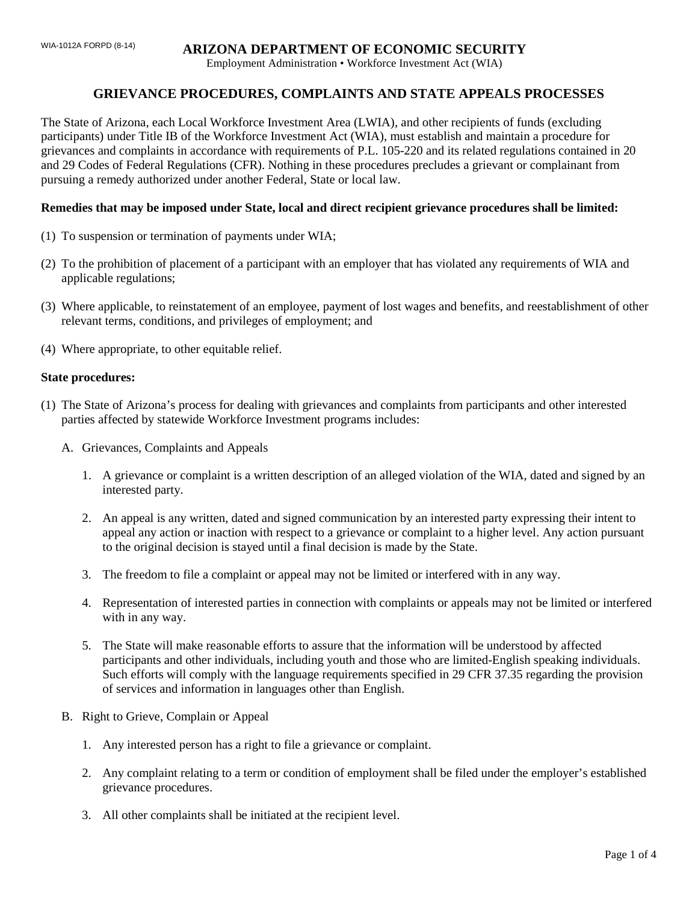## WIA-1012A FORPD (8-14) **ARIZONA DEPARTMENT OF ECONOMIC SECURITY**

Employment Administration • Workforce Investment Act (WIA)

# **GRIEVANCE PROCEDURES, COMPLAINTS AND STATE APPEALS PROCESSES**

The State of Arizona, each Local Workforce Investment Area (LWIA), and other recipients of funds (excluding participants) under Title IB of the Workforce Investment Act (WIA), must establish and maintain a procedure for grievances and complaints in accordance with requirements of P.L. 105-220 and its related regulations contained in 20 and 29 Codes of Federal Regulations (CFR). Nothing in these procedures precludes a grievant or complainant from pursuing a remedy authorized under another Federal, State or local law.

### **Remedies that may be imposed under State, local and direct recipient grievance procedures shall be limited:**

- (1) To suspension or termination of payments under WIA;
- (2) To the prohibition of placement of a participant with an employer that has violated any requirements of WIA and applicable regulations;
- (3) Where applicable, to reinstatement of an employee, payment of lost wages and benefits, and reestablishment of other relevant terms, conditions, and privileges of employment; and
- (4) Where appropriate, to other equitable relief.

#### **State procedures:**

- (1) The State of Arizona's process for dealing with grievances and complaints from participants and other interested parties affected by statewide Workforce Investment programs includes:
	- A. Grievances, Complaints and Appeals
		- 1. A grievance or complaint is a written description of an alleged violation of the WIA, dated and signed by an interested party.
		- 2. An appeal is any written, dated and signed communication by an interested party expressing their intent to appeal any action or inaction with respect to a grievance or complaint to a higher level. Any action pursuant to the original decision is stayed until a final decision is made by the State.
		- 3. The freedom to file a complaint or appeal may not be limited or interfered with in any way.
		- 4. Representation of interested parties in connection with complaints or appeals may not be limited or interfered with in any way.
		- 5. The State will make reasonable efforts to assure that the information will be understood by affected participants and other individuals, including youth and those who are limited-English speaking individuals. Such efforts will comply with the language requirements specified in 29 CFR 37.35 regarding the provision of services and information in languages other than English.
	- B. Right to Grieve, Complain or Appeal
		- 1. Any interested person has a right to file a grievance or complaint.
		- 2. Any complaint relating to a term or condition of employment shall be filed under the employer's established grievance procedures.
		- 3. All other complaints shall be initiated at the recipient level.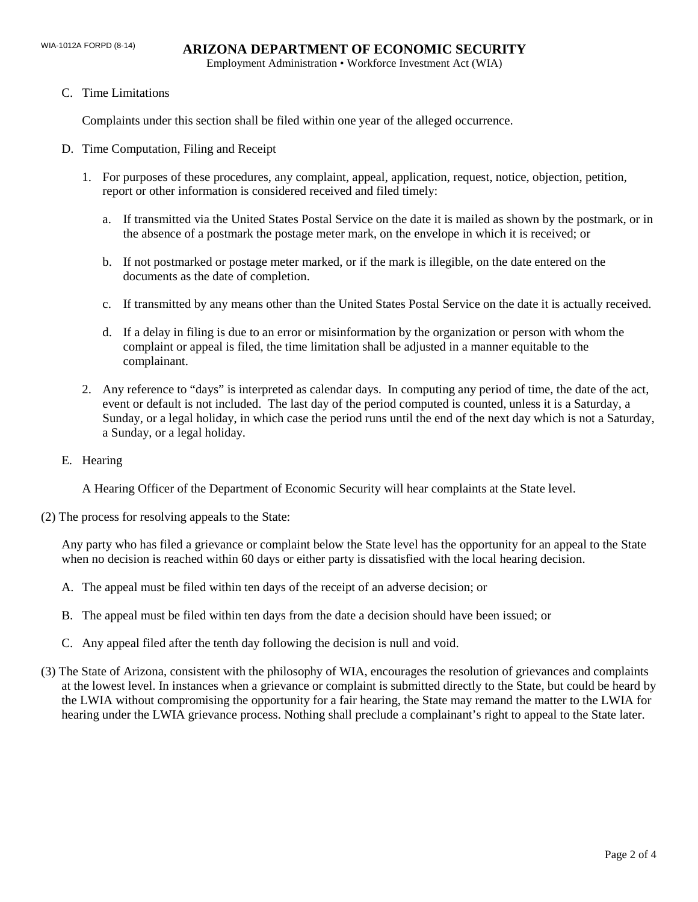Employment Administration • Workforce Investment Act (WIA)

C. Time Limitations

Complaints under this section shall be filed within one year of the alleged occurrence.

- D. Time Computation, Filing and Receipt
	- 1. For purposes of these procedures, any complaint, appeal, application, request, notice, objection, petition, report or other information is considered received and filed timely:
		- a. If transmitted via the United States Postal Service on the date it is mailed as shown by the postmark, or in the absence of a postmark the postage meter mark, on the envelope in which it is received; or
		- b. If not postmarked or postage meter marked, or if the mark is illegible, on the date entered on the documents as the date of completion.
		- c. If transmitted by any means other than the United States Postal Service on the date it is actually received.
		- d. If a delay in filing is due to an error or misinformation by the organization or person with whom the complaint or appeal is filed, the time limitation shall be adjusted in a manner equitable to the complainant.
	- 2. Any reference to "days" is interpreted as calendar days. In computing any period of time, the date of the act, event or default is not included. The last day of the period computed is counted, unless it is a Saturday, a Sunday, or a legal holiday, in which case the period runs until the end of the next day which is not a Saturday, a Sunday, or a legal holiday.
- E. Hearing

A Hearing Officer of the Department of Economic Security will hear complaints at the State level.

(2) The process for resolving appeals to the State:

Any party who has filed a grievance or complaint below the State level has the opportunity for an appeal to the State when no decision is reached within 60 days or either party is dissatisfied with the local hearing decision.

- A. The appeal must be filed within ten days of the receipt of an adverse decision; or
- B. The appeal must be filed within ten days from the date a decision should have been issued; or
- C. Any appeal filed after the tenth day following the decision is null and void.
- (3) The State of Arizona, consistent with the philosophy of WIA, encourages the resolution of grievances and complaints at the lowest level. In instances when a grievance or complaint is submitted directly to the State, but could be heard by the LWIA without compromising the opportunity for a fair hearing, the State may remand the matter to the LWIA for hearing under the LWIA grievance process. Nothing shall preclude a complainant's right to appeal to the State later.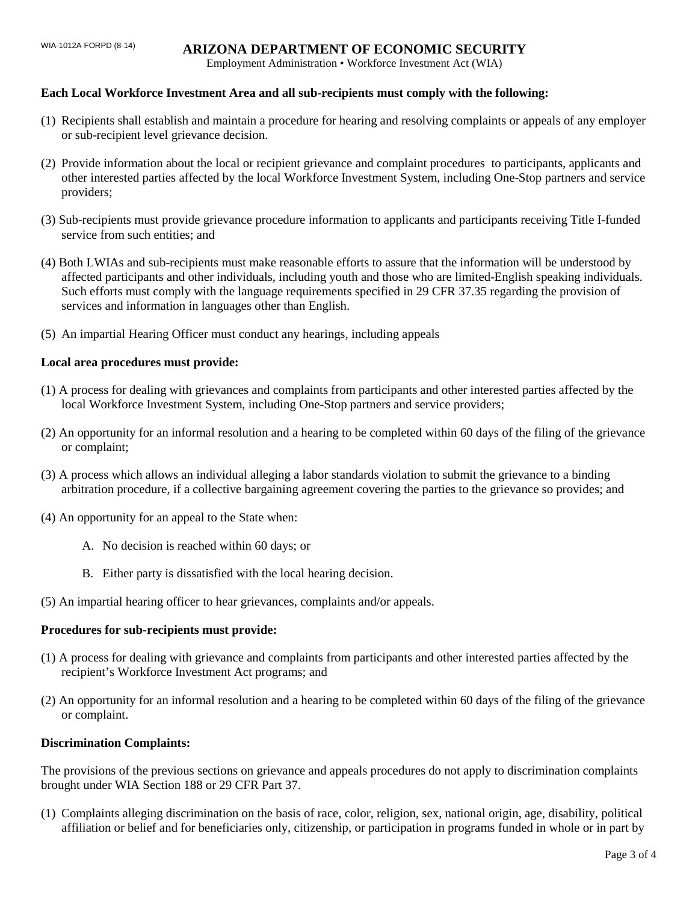# WIA-1012A FORPD (8-14) **ARIZONA DEPARTMENT OF ECONOMIC SECURITY**

Employment Administration • Workforce Investment Act (WIA)

### **Each Local Workforce Investment Area and all sub-recipients must comply with the following:**

- (1) Recipients shall establish and maintain a procedure for hearing and resolving complaints or appeals of any employer or sub-recipient level grievance decision.
- (2) Provide information about the local or recipient grievance and complaint procedures to participants, applicants and other interested parties affected by the local Workforce Investment System, including One-Stop partners and service providers;
- (3) Sub-recipients must provide grievance procedure information to applicants and participants receiving Title I-funded service from such entities; and
- (4) Both LWIAs and sub-recipients must make reasonable efforts to assure that the information will be understood by affected participants and other individuals, including youth and those who are limited-English speaking individuals. Such efforts must comply with the language requirements specified in 29 CFR 37.35 regarding the provision of services and information in languages other than English.
- (5) An impartial Hearing Officer must conduct any hearings, including appeals

### **Local area procedures must provide:**

- (1) A process for dealing with grievances and complaints from participants and other interested parties affected by the local Workforce Investment System, including One-Stop partners and service providers;
- (2) An opportunity for an informal resolution and a hearing to be completed within 60 days of the filing of the grievance or complaint;
- (3) A process which allows an individual alleging a labor standards violation to submit the grievance to a binding arbitration procedure, if a collective bargaining agreement covering the parties to the grievance so provides; and
- (4) An opportunity for an appeal to the State when:
	- A. No decision is reached within 60 days; or
	- B. Either party is dissatisfied with the local hearing decision.
- (5) An impartial hearing officer to hear grievances, complaints and/or appeals.

#### **Procedures for sub-recipients must provide:**

- (1) A process for dealing with grievance and complaints from participants and other interested parties affected by the recipient's Workforce Investment Act programs; and
- (2) An opportunity for an informal resolution and a hearing to be completed within 60 days of the filing of the grievance or complaint.

#### **Discrimination Complaints:**

The provisions of the previous sections on grievance and appeals procedures do not apply to discrimination complaints brought under WIA Section 188 or 29 CFR Part 37.

(1) Complaints alleging discrimination on the basis of race, color, religion, sex, national origin, age, disability, political affiliation or belief and for beneficiaries only, citizenship, or participation in programs funded in whole or in part by